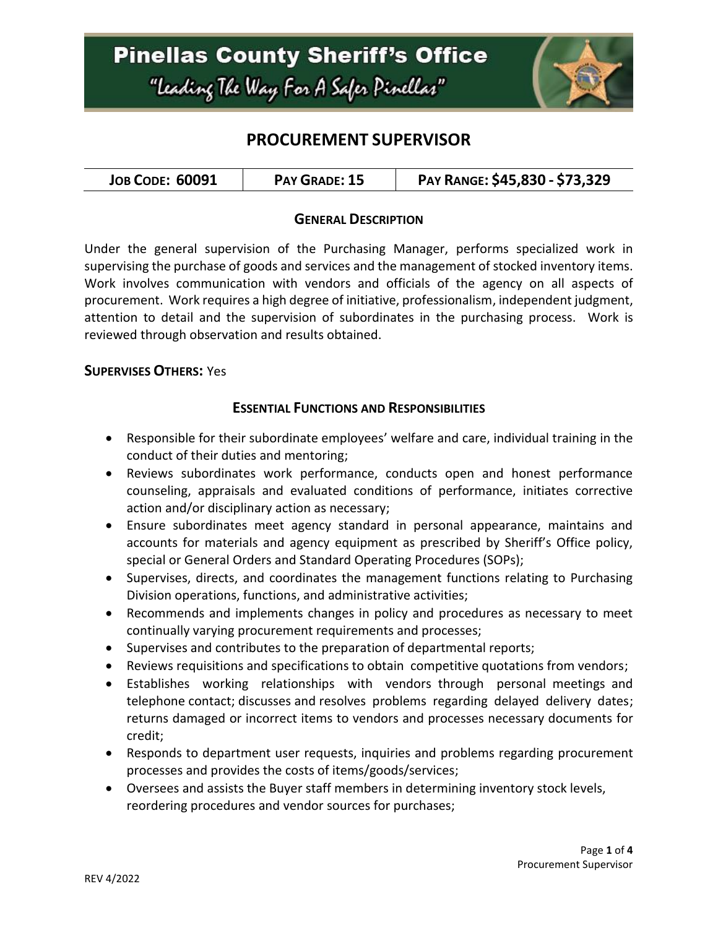

### **PROCUREMENT SUPERVISOR**

#### **GENERAL DESCRIPTION**

Under the general supervision of the Purchasing Manager, performs specialized work in supervising the purchase of goods and services and the management of stocked inventory items. Work involves communication with vendors and officials of the agency on all aspects of procurement. Work requires a high degree of initiative, professionalism, independent judgment, attention to detail and the supervision of subordinates in the purchasing process. Work is reviewed through observation and results obtained.

#### **SUPERVISES OTHERS:** Yes

#### **ESSENTIAL FUNCTIONS AND RESPONSIBILITIES**

- Responsible for their subordinate employees' welfare and care, individual training in the conduct of their duties and mentoring;
- Reviews subordinates work performance, conducts open and honest performance counseling, appraisals and evaluated conditions of performance, initiates corrective action and/or disciplinary action as necessary;
- Ensure subordinates meet agency standard in personal appearance, maintains and accounts for materials and agency equipment as prescribed by Sheriff's Office policy, special or General Orders and Standard Operating Procedures (SOPs);
- Supervises, directs, and coordinates the management functions relating to Purchasing Division operations, functions, and administrative activities;
- Recommends and implements changes in policy and procedures as necessary to meet continually varying procurement requirements and processes;
- Supervises and contributes to the preparation of departmental reports;
- Reviews requisitions and specifications to obtain competitive quotations from vendors;
- Establishes working relationships with vendors through personal meetings and telephone contact; discusses and resolves problems regarding delayed delivery dates; returns damaged or incorrect items to vendors and processes necessary documents for credit;
- Responds to department user requests, inquiries and problems regarding procurement processes and provides the costs of items/goods/services;
- Oversees and assists the Buyer staff members in determining inventory stock levels, reordering procedures and vendor sources for purchases;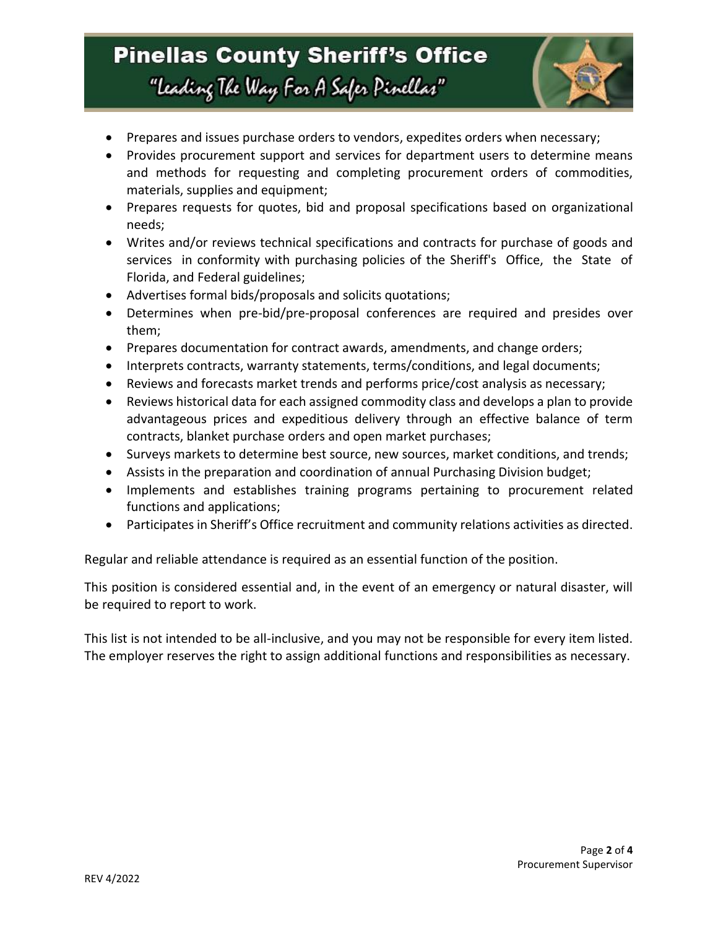### **Pinellas County Sheriff's Office** "Leading The Way For A Safer Pinellar"



- Prepares and issues purchase orders to vendors, expedites orders when necessary;
- Provides procurement support and services for department users to determine means and methods for requesting and completing procurement orders of commodities, materials, supplies and equipment;
- Prepares requests for quotes, bid and proposal specifications based on organizational needs;
- Writes and/or reviews technical specifications and contracts for purchase of goods and services in conformity with purchasing policies of the Sheriff's Office, the State of Florida, and Federal guidelines;
- Advertises formal bids/proposals and solicits quotations;
- Determines when pre-bid/pre-proposal conferences are required and presides over them;
- Prepares documentation for contract awards, amendments, and change orders;
- Interprets contracts, warranty statements, terms/conditions, and legal documents;
- Reviews and forecasts market trends and performs price/cost analysis as necessary;
- Reviews historical data for each assigned commodity class and develops a plan to provide advantageous prices and expeditious delivery through an effective balance of term contracts, blanket purchase orders and open market purchases;
- Surveys markets to determine best source, new sources, market conditions, and trends;
- Assists in the preparation and coordination of annual Purchasing Division budget;
- Implements and establishes training programs pertaining to procurement related functions and applications;
- Participates in Sheriff's Office recruitment and community relations activities as directed.

Regular and reliable attendance is required as an essential function of the position.

This position is considered essential and, in the event of an emergency or natural disaster, will be required to report to work.

This list is not intended to be all-inclusive, and you may not be responsible for every item listed. The employer reserves the right to assign additional functions and responsibilities as necessary.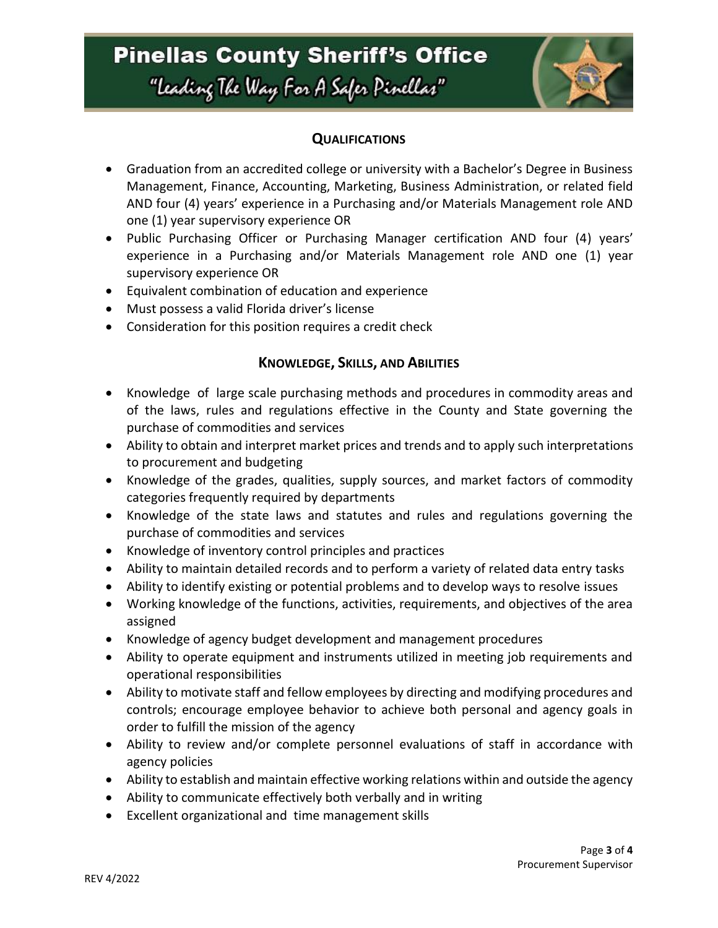## **Pinellas County Sheriff's Office** "Leading The Way For A Safer Pinellar"



### **QUALIFICATIONS**

- Graduation from an accredited college or university with a Bachelor's Degree in Business Management, Finance, Accounting, Marketing, Business Administration, or related field AND four (4) years' experience in a Purchasing and/or Materials Management role AND one (1) year supervisory experience OR
- Public Purchasing Officer or Purchasing Manager certification AND four (4) years' experience in a Purchasing and/or Materials Management role AND one (1) year supervisory experience OR
- Equivalent combination of education and experience
- Must possess a valid Florida driver's license
- Consideration for this position requires a credit check

### **KNOWLEDGE, SKILLS, AND ABILITIES**

- Knowledge of large scale purchasing methods and procedures in commodity areas and of the laws, rules and regulations effective in the County and State governing the purchase of commodities and services
- Ability to obtain and interpret market prices and trends and to apply such interpretations to procurement and budgeting
- Knowledge of the grades, qualities, supply sources, and market factors of commodity categories frequently required by departments
- Knowledge of the state laws and statutes and rules and regulations governing the purchase of commodities and services
- Knowledge of inventory control principles and practices
- Ability to maintain detailed records and to perform a variety of related data entry tasks
- Ability to identify existing or potential problems and to develop ways to resolve issues
- Working knowledge of the functions, activities, requirements, and objectives of the area assigned
- Knowledge of agency budget development and management procedures
- Ability to operate equipment and instruments utilized in meeting job requirements and operational responsibilities
- Ability to motivate staff and fellow employees by directing and modifying procedures and controls; encourage employee behavior to achieve both personal and agency goals in order to fulfill the mission of the agency
- Ability to review and/or complete personnel evaluations of staff in accordance with agency policies
- Ability to establish and maintain effective working relations within and outside the agency
- Ability to communicate effectively both verbally and in writing
- Excellent organizational and time management skills